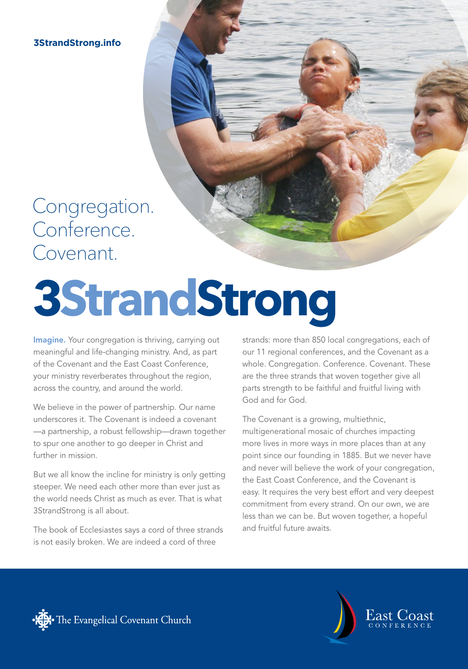**3StrandStrong.info**

### Congregation. Conference. Covenant.

# **3StrandStrong**

Imagine. Your congregation is thriving, carrying out meaningful and life-changing ministry. And, as part of the Covenant and the East Coast Conference, your ministry reverberates throughout the region, across the country, and around the world.

We believe in the power of partnership. Our name underscores it. The Covenant is indeed a covenant —a partnership, a robust fellowship—drawn together to spur one another to go deeper in Christ and further in mission.

But we all know the incline for ministry is only getting steeper. We need each other more than ever just as the world needs Christ as much as ever. That is what 3StrandStrong is all about.

The book of Ecclesiastes says a cord of three strands is not easily broken. We are indeed a cord of three

strands: more than 850 local congregations, each of our 11 regional conferences, and the Covenant as a whole. Congregation. Conference. Covenant. These are the three strands that woven together give all parts strength to be faithful and fruitful living with God and for God.

The Covenant is a growing, multiethnic, multigenerational mosaic of churches impacting more lives in more ways in more places than at any point since our founding in 1885. But we never have and never will believe the work of your congregation, the East Coast Conference, and the Covenant is easy. It requires the very best effort and very deepest commitment from every strand. On our own, we are less than we can be. But woven together, a hopeful and fruitful future awaits.



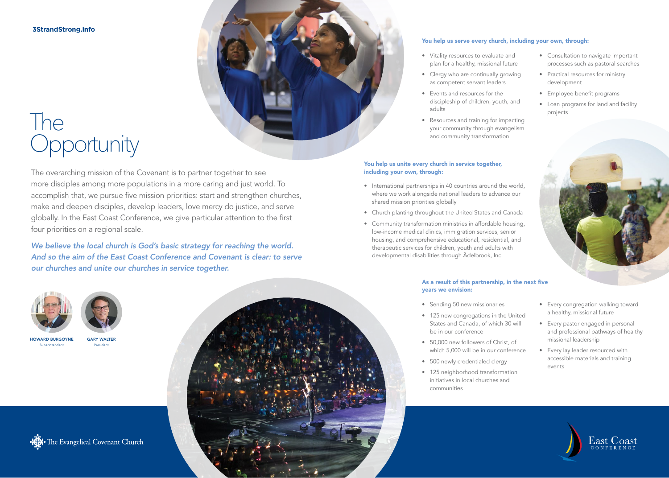**3StrandStrong.info**

## The **Opportunity**

The overarching mission of the Covenant is to partner together to see more disciples among more populations in a more caring and just world. To accomplish that, we pursue five mission priorities: start and strengthen churches, make and deepen disciples, develop leaders, love mercy do justice, and serve globally. In the East Coast Conference, we give particular attention to the first four priorities on a regional scale.

*We believe the local church is God's basic strategy for reaching the world. And so the aim of the East Coast Conference and Covenant is clear: to serve our churches and unite our churches in service together.*



### You help us serve every church, including your own, through:

- Vitality resources to evaluate and plan for a healthy, missional future
- Clergy who are continually growing as competent servant leaders
- Events and resources for the discipleship of children, youth, and adults
- Resources and training for impacting your community through evangelism and community transformation

### You help us unite every church in service together, including your own, through:

- International partnerships in 40 countries around the world, where we work alongside national leaders to advance our shared mission priorities globally
- Church planting throughout the United States and Canada
- Community transformation ministries in affordable housing, low-income medical clinics, immigration services, senior housing, and comprehensive educational, residential, and therapeutic services for children, youth and adults with developmental disabilities through Ädelbrook, Inc.

### As a result of this partnership, in the next five years we envision:

- Sending 50 new missionaries
- 125 new congregations in the United States and Canada, of which 30 will be in our conference
- 50,000 new followers of Christ, of which 5,000 will be in our conference
- 500 newly credentialed clergy
- 125 neighborhood transformation initiatives in local churches and communities
- Consultation to navigate important processes such as pastoral searches
- Practical resources for ministry development
- Employee benefit programs
- Loan programs for land and facility projects







GARY WALTER President

HOWARD BURGOYNE Superintendent





- Every congregation walking toward a healthy, missional future
- Every pastor engaged in personal and professional pathways of healthy missional leadership
- Every lay leader resourced with accessible materials and training events